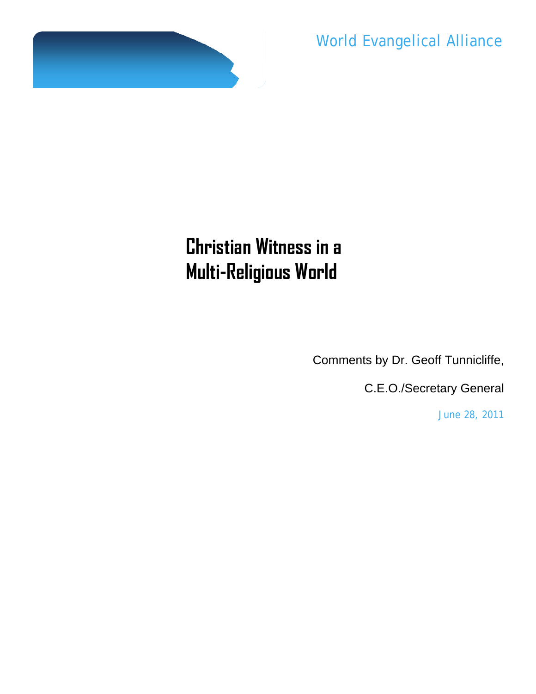

World Evangelical Alliance

## **Christian Witness in a Multi-Religious World**

Comments by Dr. Geoff Tunnicliffe,

C.E.O./Secretary General

June 28, 2011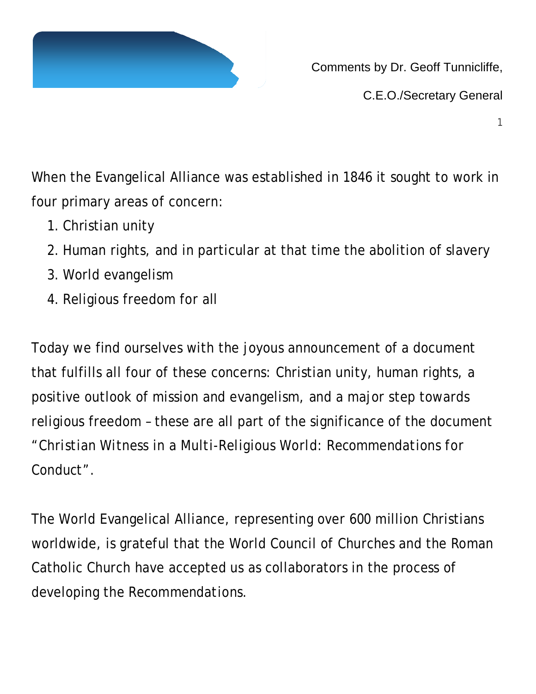

Comments by Dr. Geoff Tunnicliffe,

C.E.O./Secretary General

1

When the Evangelical Alliance was established in 1846 it sought to work in four primary areas of concern:

- 1. Christian unity
- 2. Human rights, and in particular at that time the abolition of slavery
- 3. World evangelism
- 4. Religious freedom for all

Today we find ourselves with the joyous announcement of a document that fulfills all four of these concerns: Christian unity, human rights, a positive outlook of mission and evangelism, and a major step towards religious freedom – these are all part of the significance of the document *"Christian Witness in a Multi-Religious World: Recommendations for Conduct".*

The World Evangelical Alliance, representing over 600 million Christians worldwide, is grateful that the World Council of Churches and the Roman Catholic Church have accepted us as collaborators in the process of developing the *Recommendations*.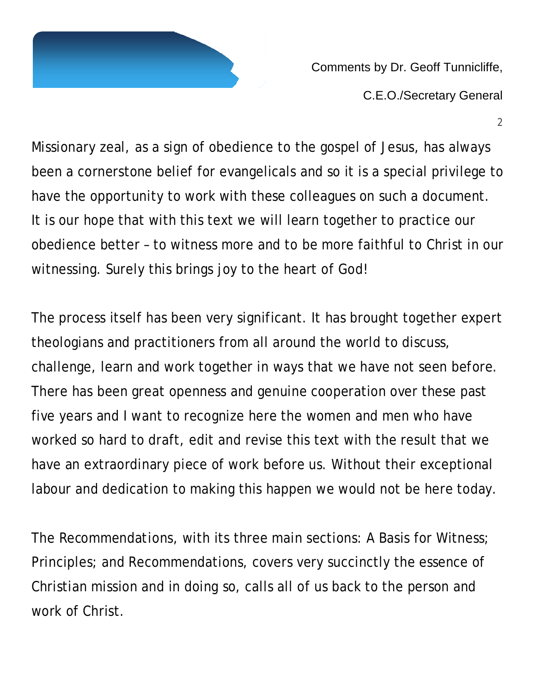

Comments by Dr. Geoff Tunnicliffe, C.E.O./Secretary General

2

Missionary zeal, as a sign of obedience to the gospel of Jesus, has always been a cornerstone belief for evangelicals and so it is a special privilege to have the opportunity to work with these colleagues on such a document. It is our hope that with this text we will learn together to practice our obedience better – to witness more and to be more faithful to Christ in our witnessing. Surely this brings joy to the heart of God!

The process itself has been very significant. It has brought together expert theologians and practitioners from all around the world to discuss, challenge, learn and work together in ways that we have not seen before. There has been great openness and genuine cooperation over these past five years and I want to recognize here the women and men who have worked so hard to draft, edit and revise this text with the result that we have an extraordinary piece of work before us. Without their exceptional labour and dedication to making this happen we would not be here today.

The *Recommendations*, with its three main sections: A Basis for Witness; Principles; and Recommendations, covers very succinctly the essence of Christian mission and in doing so, calls all of us back to the person and work of Christ.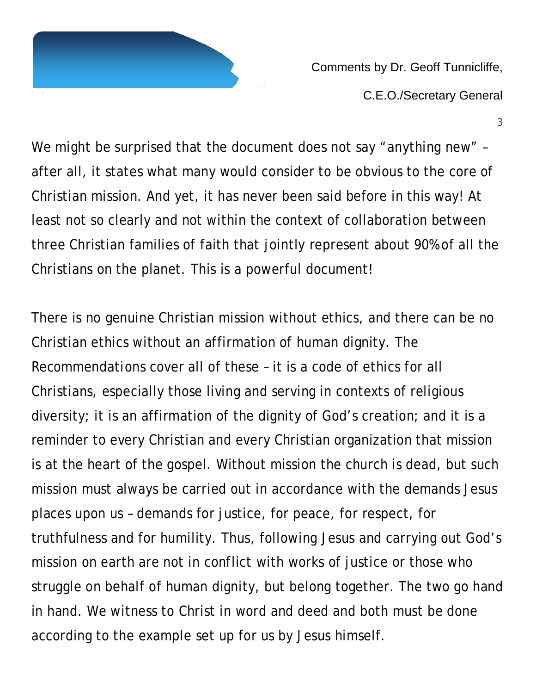

Comments by Dr. Geoff Tunnicliffe, C.E.O./Secretary General

3

We might be surprised that the document does not say "anything new" after all, it states what many would consider to be obvious to the core of Christian mission. And yet, it has never been said before in this way! At least not so clearly and not within the context of collaboration between three Christian families of faith that jointly represent about 90% of all the Christians on the planet. This is a powerful document!

There is no genuine Christian mission without ethics, and there can be no Christian ethics without an affirmation of human dignity. The *Recommendations* cover all of these – it is a code of ethics for all Christians, especially those living and serving in contexts of religious diversity; it is an affirmation of the dignity of God's creation; and it is a reminder to every Christian and every Christian organization that mission is at the heart of the gospel. Without mission the church is dead, but such mission must always be carried out in accordance with the demands Jesus places upon us – demands for justice, for peace, for respect, for truthfulness and for humility. Thus, following Jesus and carrying out God's mission on earth are not in conflict with works of justice or those who struggle on behalf of human dignity, but belong together. The two go hand in hand. We witness to Christ in word and deed and both must be done according to the example set up for us by Jesus himself.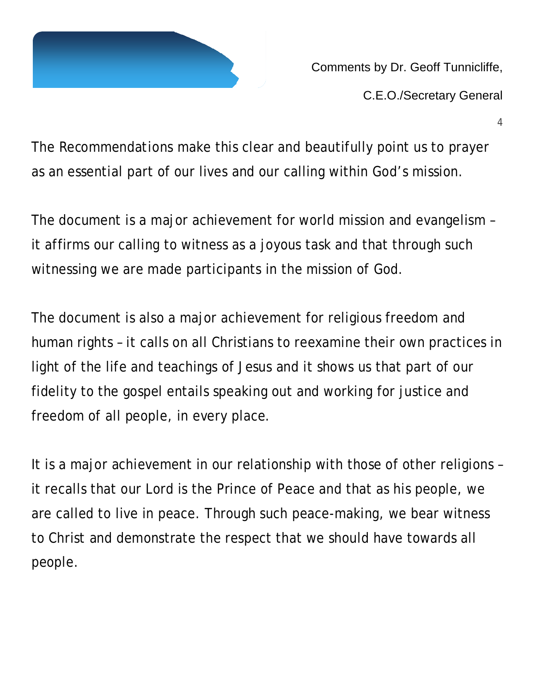

Comments by Dr. Geoff Tunnicliffe,

C.E.O./Secretary General

4

The *Recommendations* make this clear and beautifully point us to prayer as an essential part of our lives and our calling within God's mission.

The document is a major achievement for world mission and evangelism – it affirms our calling to witness as a joyous task and that through such witnessing we are made participants in the mission of God.

The document is also a major achievement for religious freedom and human rights – it calls on all Christians to reexamine their own practices in light of the life and teachings of Jesus and it shows us that part of our fidelity to the gospel entails speaking out and working for justice and freedom of all people, in every place.

It is a major achievement in our relationship with those of other religions – it recalls that our Lord is the Prince of Peace and that as his people, we are called to live in peace. Through such peace-making, we bear witness to Christ and demonstrate the respect that we should have towards all people.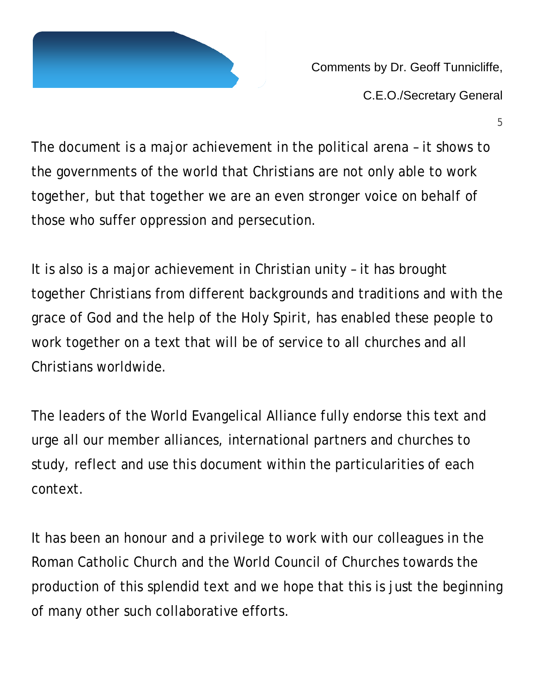

Comments by Dr. Geoff Tunnicliffe,

C.E.O./Secretary General

5

The document is a major achievement in the political arena – it shows to the governments of the world that Christians are not only able to work together, but that together we are an even stronger voice on behalf of those who suffer oppression and persecution.

It is also is a major achievement in Christian unity – it has brought together Christians from different backgrounds and traditions and with the grace of God and the help of the Holy Spirit, has enabled these people to work together on a text that will be of service to all churches and all Christians worldwide.

The leaders of the World Evangelical Alliance fully endorse this text and urge all our member alliances, international partners and churches to study, reflect and use this document within the particularities of each context.

It has been an honour and a privilege to work with our colleagues in the Roman Catholic Church and the World Council of Churches towards the production of this splendid text and we hope that this is just the beginning of many other such collaborative efforts.